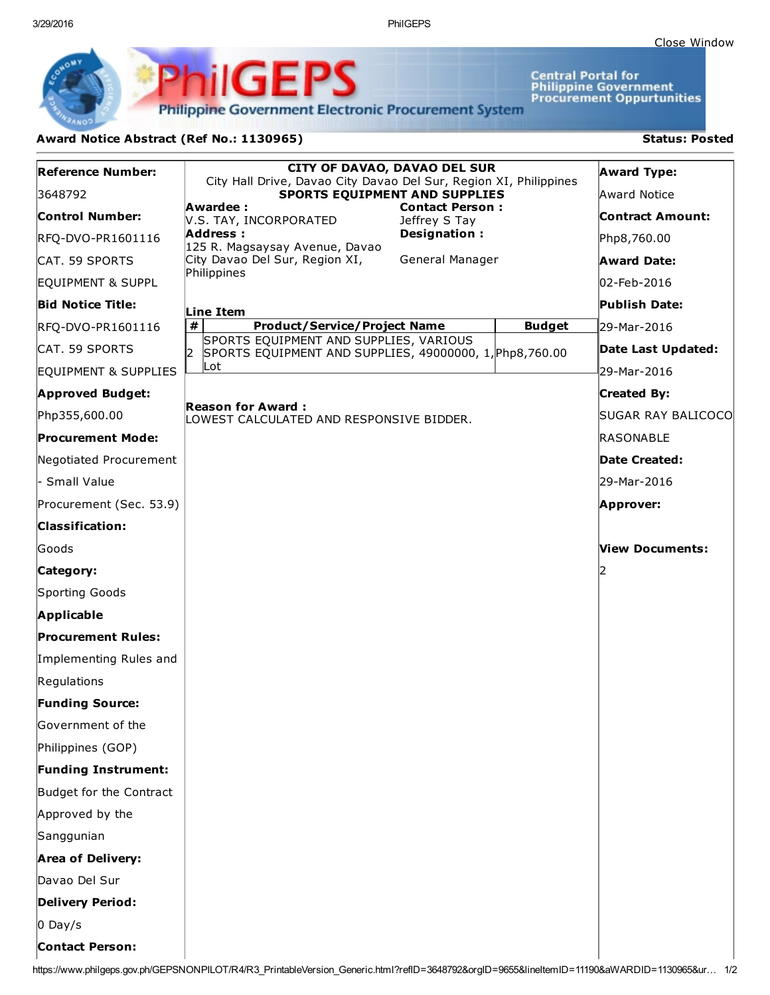3/29/2016 PhilGEPS

**Central Portal for<br>Philippine Government<br>Procurement Oppurtunities** 

**Philippine Government Electronic Procurement System** 

**PhilGEPS** 

## Award Notice Abstract (Ref No.: 1130965) Status: Posted

| <b>Reference Number:</b>   | <b>CITY OF DAVAO, DAVAO DEL SUR</b>                                                                                                           | <b>Award Type:</b>        |
|----------------------------|-----------------------------------------------------------------------------------------------------------------------------------------------|---------------------------|
| 3648792                    | City Hall Drive, Davao City Davao Del Sur, Region XI, Philippines<br>SPORTS EQUIPMENT AND SUPPLIES                                            | Award Notice              |
| <b>Control Number:</b>     | Awardee:<br><b>Contact Person:</b><br>V.S. TAY, INCORPORATED<br>Jeffrey S Tay                                                                 | <b>Contract Amount:</b>   |
| RFQ-DVO-PR1601116          | Address:<br>Designation:<br>125 R. Magsaysay Avenue, Davao                                                                                    | Php8,760.00               |
| CAT. 59 SPORTS             | City Davao Del Sur, Region XI,<br>General Manager                                                                                             | <b>Award Date:</b>        |
| EQUIPMENT & SUPPL          | Philippines                                                                                                                                   | 02-Feb-2016               |
| <b>Bid Notice Title:</b>   | Line Item                                                                                                                                     | <b>Publish Date:</b>      |
| RFQ-DVO-PR1601116          | $\pmb{\#}$<br><b>Product/Service/Project Name</b><br><b>Budget</b>                                                                            | 29-Mar-2016               |
| CAT. 59 SPORTS             | SPORTS EQUIPMENT AND SUPPLIES, VARIOUS<br>SPORTS EQUIPMENT AND SUPPLIES, 49000000, 1, Php8, 760.00<br>I2                                      | Date Last Updated:        |
| EQUIPMENT & SUPPLIES       | Lot                                                                                                                                           | 29-Mar-2016               |
| <b>Approved Budget:</b>    |                                                                                                                                               | <b>Created By:</b>        |
| Php355,600.00              | <b>Reason for Award:</b><br>LOWEST CALCULATED AND RESPONSIVE BIDDER.                                                                          | <b>SUGAR RAY BALICOCO</b> |
| <b>Procurement Mode:</b>   |                                                                                                                                               | RASONABLE                 |
| Negotiated Procurement     |                                                                                                                                               | Date Created:             |
| - Small Value              |                                                                                                                                               | l29-Mar-2016              |
| Procurement (Sec. 53.9)    |                                                                                                                                               | Approver:                 |
| <b>Classification:</b>     |                                                                                                                                               |                           |
| lGoods                     |                                                                                                                                               | <b>View Documents:</b>    |
| Category:                  |                                                                                                                                               |                           |
| Sporting Goods             |                                                                                                                                               |                           |
| Applicable                 |                                                                                                                                               |                           |
| <b>Procurement Rules:</b>  |                                                                                                                                               |                           |
| Implementing Rules and     |                                                                                                                                               |                           |
| Regulations                |                                                                                                                                               |                           |
| <b>Funding Source:</b>     |                                                                                                                                               |                           |
| Government of the          |                                                                                                                                               |                           |
| Philippines (GOP)          |                                                                                                                                               |                           |
| <b>Funding Instrument:</b> |                                                                                                                                               |                           |
| Budget for the Contract    |                                                                                                                                               |                           |
| Approved by the            |                                                                                                                                               |                           |
| Sanggunian                 |                                                                                                                                               |                           |
| <b>Area of Delivery:</b>   |                                                                                                                                               |                           |
| Davao Del Sur              |                                                                                                                                               |                           |
| <b>Delivery Period:</b>    |                                                                                                                                               |                           |
| $0$ Day/s                  |                                                                                                                                               |                           |
| <b>Contact Person:</b>     |                                                                                                                                               |                           |
|                            | https://www.philgeps.gov.ph/GEPSNONPILOT/R4/R3_PrintableVersion_Generic.html?reflD=3648792&orgID=9655&lineItemID=11190&aWARDID=1130965&ur 1/2 |                           |